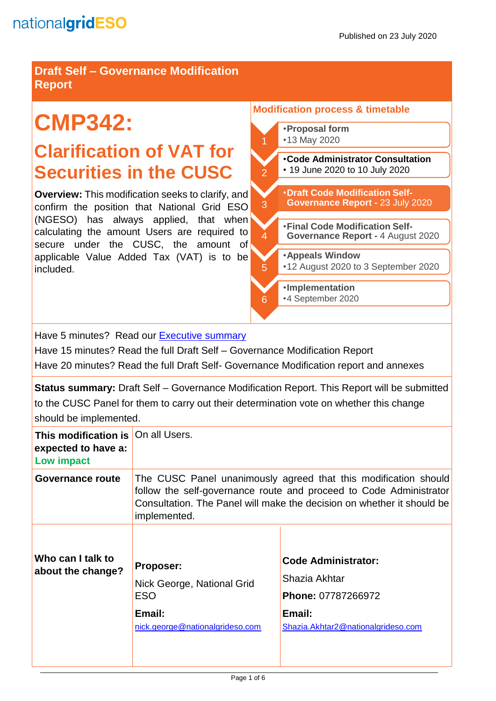**Draft Self – Governance Modification Report**

# **CMP342:**

# **Clarification of VAT for Securities in the CUSC**

**Overview:** This modification seeks to clarify, and confirm the position that National Grid ESO (NGESO) has always applied, that when calculating the amount Users are required to secure under the CUSC, the amount of applicable Value Added Tax (VAT) is to be included.

#### **Modification process & timetable**



Have 5 minutes? Read our [Executive summary](#page-1-0)

Have 15 minutes? Read the full Draft Self – Governance Modification Report Have 20 minutes? Read the full Draft Self- Governance Modification report and annexes

**Status summary:** Draft Self – Governance Modification Report. This Report will be submitted to the CUSC Panel for them to carry out their determination vote on whether this change should be implemented.

| This modification is   On all Users.<br>expected to have a:<br>Low impact |                                                                                                                                                                                                                                 |                                                                                                                          |
|---------------------------------------------------------------------------|---------------------------------------------------------------------------------------------------------------------------------------------------------------------------------------------------------------------------------|--------------------------------------------------------------------------------------------------------------------------|
| Governance route                                                          | The CUSC Panel unanimously agreed that this modification should<br>follow the self-governance route and proceed to Code Administrator<br>Consultation. The Panel will make the decision on whether it should be<br>implemented. |                                                                                                                          |
| Who can I talk to<br>about the change?                                    | <b>Proposer:</b><br>Nick George, National Grid<br><b>ESO</b><br>Email:<br>nick.george@nationalgrideso.com                                                                                                                       | <b>Code Administrator:</b><br>Shazia Akhtar<br><b>Phone: 07787266972</b><br>Email:<br>Shazia.Akhtar2@nationalgrideso.com |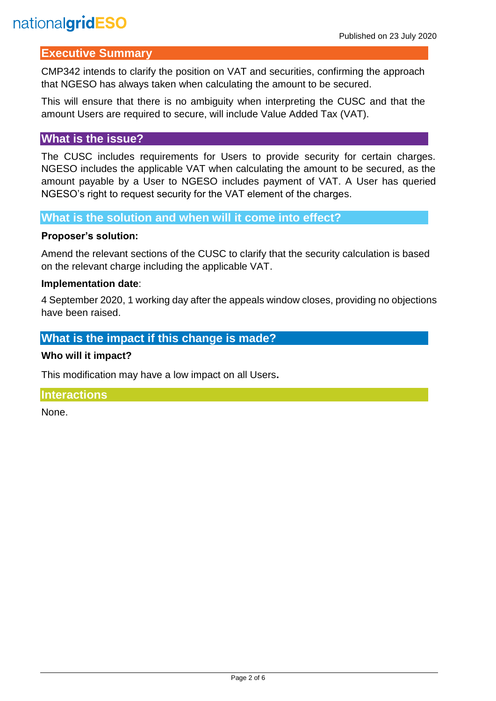# <span id="page-1-0"></span>**Executive Summary**

CMP342 intends to clarify the position on VAT and securities, confirming the approach that NGESO has always taken when calculating the amount to be secured.

This will ensure that there is no ambiguity when interpreting the CUSC and that the amount Users are required to secure, will include Value Added Tax (VAT).

### **What is the issue?**

The CUSC includes requirements for Users to provide security for certain charges. NGESO includes the applicable VAT when calculating the amount to be secured, as the amount payable by a User to NGESO includes payment of VAT. A User has queried NGESO's right to request security for the VAT element of the charges.

**What is the solution and when will it come into effect?**

### **Proposer's solution:**

Amend the relevant sections of the CUSC to clarify that the security calculation is based on the relevant charge including the applicable VAT.

### **Implementation date**:

4 September 2020, 1 working day after the appeals window closes, providing no objections have been raised.

# **What is the impact if this change is made?**

### **Who will it impact?**

This modification may have a low impact on all Users**.** 

### **Interactions**

None.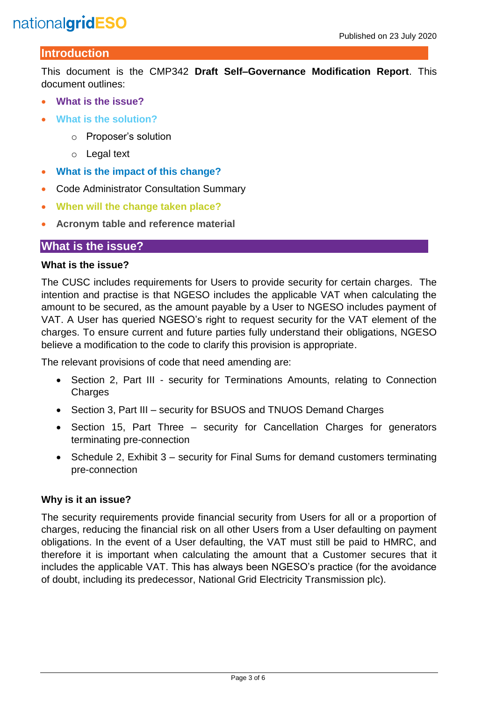# **Introduction**

This document is the CMP342 **Draft Self–Governance Modification Report**. This document outlines:

- **What is the issue?**
- **What is the solution?**
	- o Proposer's solution
	- o Legal text
- **What is the impact of this change?**
- Code Administrator Consultation Summary
- **When will the change taken place?**
- **Acronym table and reference material**

### **What is the issue?**

#### **What is the issue?**

The CUSC includes requirements for Users to provide security for certain charges. The intention and practise is that NGESO includes the applicable VAT when calculating the amount to be secured, as the amount payable by a User to NGESO includes payment of VAT. A User has queried NGESO's right to request security for the VAT element of the charges. To ensure current and future parties fully understand their obligations, NGESO believe a modification to the code to clarify this provision is appropriate.

The relevant provisions of code that need amending are:

- Section 2, Part III security for Terminations Amounts, relating to Connection Charges
- Section 3, Part III security for BSUOS and TNUOS Demand Charges
- Section 15, Part Three security for Cancellation Charges for generators terminating pre-connection
- Schedule 2, Exhibit 3 security for Final Sums for demand customers terminating pre-connection

### **Why is it an issue?**

The security requirements provide financial security from Users for all or a proportion of charges, reducing the financial risk on all other Users from a User defaulting on payment obligations. In the event of a User defaulting, the VAT must still be paid to HMRC, and therefore it is important when calculating the amount that a Customer secures that it includes the applicable VAT. This has always been NGESO's practice (for the avoidance of doubt, including its predecessor, National Grid Electricity Transmission plc).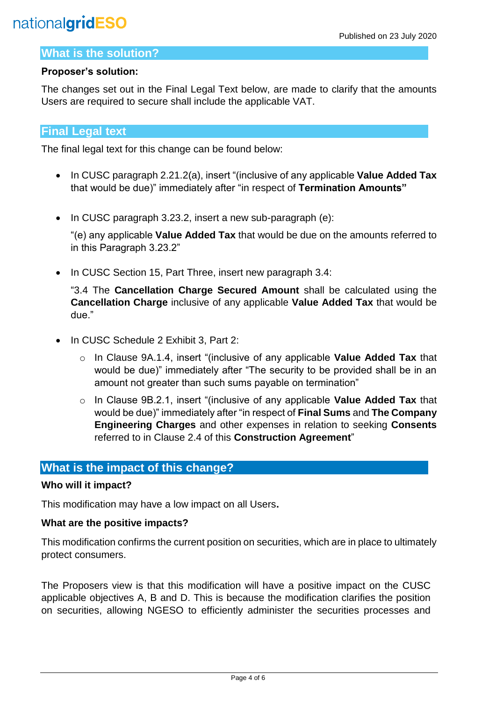### **What is the solution?**

### **Proposer's solution:**

The changes set out in the Final Legal Text below, are made to clarify that the amounts Users are required to secure shall include the applicable VAT.

# **Final Legal text**

The final legal text for this change can be found below:

- In CUSC paragraph 2.21.2(a), insert "(inclusive of any applicable **Value Added Tax** that would be due)" immediately after "in respect of **Termination Amounts"**
- In CUSC paragraph 3.23.2, insert a new sub-paragraph (e):

"(e) any applicable **Value Added Tax** that would be due on the amounts referred to in this Paragraph 3.23.2"

• In CUSC Section 15, Part Three, insert new paragraph 3.4:

"3.4 The **Cancellation Charge Secured Amount** shall be calculated using the **Cancellation Charge** inclusive of any applicable **Value Added Tax** that would be due."

- In CUSC Schedule 2 Exhibit 3, Part 2:
	- o In Clause 9A.1.4, insert "(inclusive of any applicable **Value Added Tax** that would be due)" immediately after "The security to be provided shall be in an amount not greater than such sums payable on termination"
	- o In Clause 9B.2.1, insert "(inclusive of any applicable **Value Added Tax** that would be due)" immediately after "in respect of **Final Sums** and **The Company Engineering Charges** and other expenses in relation to seeking **Consents**  referred to in Clause 2.4 of this **Construction Agreement**"

# **What is the impact of this change?**

### **Who will it impact?**

This modification may have a low impact on all Users**.** 

#### **What are the positive impacts?**

This modification confirms the current position on securities, which are in place to ultimately protect consumers.

The Proposers view is that this modification will have a positive impact on the CUSC applicable objectives A, B and D. This is because the modification clarifies the position on securities, allowing NGESO to efficiently administer the securities processes and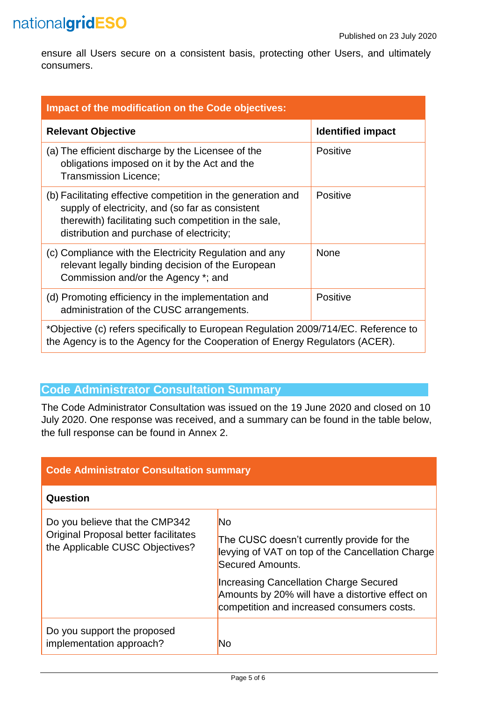ensure all Users secure on a consistent basis, protecting other Users, and ultimately consumers.

| Impact of the modification on the Code objectives:                                                                                                                                                                     |                          |  |
|------------------------------------------------------------------------------------------------------------------------------------------------------------------------------------------------------------------------|--------------------------|--|
| <b>Relevant Objective</b>                                                                                                                                                                                              | <b>Identified impact</b> |  |
| (a) The efficient discharge by the Licensee of the<br>obligations imposed on it by the Act and the<br>Transmission Licence;                                                                                            | <b>Positive</b>          |  |
| (b) Facilitating effective competition in the generation and<br>supply of electricity, and (so far as consistent<br>therewith) facilitating such competition in the sale,<br>distribution and purchase of electricity; | <b>Positive</b>          |  |
| (c) Compliance with the Electricity Regulation and any<br>relevant legally binding decision of the European<br>Commission and/or the Agency *; and                                                                     | <b>None</b>              |  |
| (d) Promoting efficiency in the implementation and<br>administration of the CUSC arrangements.                                                                                                                         | <b>Positive</b>          |  |
| *Objective (c) refers specifically to European Regulation 2009/714/EC. Reference to<br>the Agency is to the Agency for the Cooperation of Energy Regulators (ACER).                                                    |                          |  |

# **Code Administrator Consultation Summary**

The Code Administrator Consultation was issued on the 19 June 2020 and closed on 10 July 2020. One response was received, and a summary can be found in the table below, the full response can be found in Annex 2.

| <b>Code Administrator Consultation summary</b>                                                            |                                                                                                                                                                                                                                                                                   |  |
|-----------------------------------------------------------------------------------------------------------|-----------------------------------------------------------------------------------------------------------------------------------------------------------------------------------------------------------------------------------------------------------------------------------|--|
| Question                                                                                                  |                                                                                                                                                                                                                                                                                   |  |
| Do you believe that the CMP342<br>Original Proposal better facilitates<br>the Applicable CUSC Objectives? | <b>No</b><br>The CUSC doesn't currently provide for the<br>levying of VAT on top of the Cancellation Charge<br>Secured Amounts.<br><b>Increasing Cancellation Charge Secured</b><br>Amounts by 20% will have a distortive effect on<br>competition and increased consumers costs. |  |
| Do you support the proposed<br>implementation approach?                                                   | No                                                                                                                                                                                                                                                                                |  |